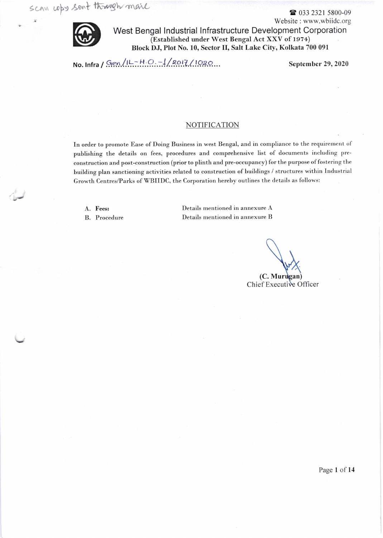

I

Website : www.wbiidc.org West Bengal lndustrial lnfrastructure Development Corporation (Established under West Bengal Act XXV of 1974) Block DJ, Plot No. 10, Sector II, Salt Lake City, Kolkata 700 091

No. Infra / Gen/IL-H.O.-1/2017/1020...

September 29, 2020

## NOTIFICATION

In order to promote Ease of Doing Business in west Bengal, and in compliance to the requirement of publishing the details on fees, procedures and comprehensive list of documents including preconstruction and post-construction (prior to plinth and pre-occupancy) for the Purpose of fostering the building plan sanctioning activities related to construction of buildings / structures within Industrial Growth Centres/Parks of WBIIDC, the Corporation hereby outlines the details as follows:

A. Fees: B. Procedure Details mentioned in annexure A Details mentioned in annexure B

(C. Murugan)

Chief Executive Officer